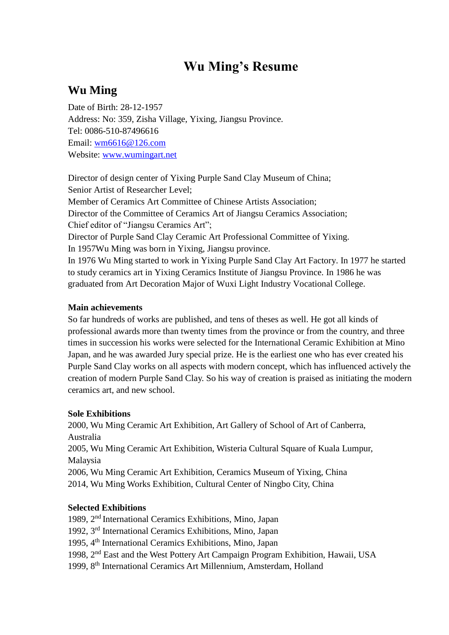# **Wu Ming's Resume**

# **Wu Ming**

Date of Birth: 28-12-1957 Address: No: 359, Zisha Village, Yixing, Jiangsu Province. Tel: 0086-510-87496616 Email: [wm6616@126.com](mailto:wm6616@126.com)  Website: [www.wumingart.net](http://www.wumingart.net/)

Director of design center of Yixing Purple Sand Clay Museum of China; Senior Artist of Researcher Level; Member of Ceramics Art Committee of Chinese Artists Association; Director of the Committee of Ceramics Art of Jiangsu Ceramics Association; Chief editor of "Jiangsu Ceramics Art"; Director of Purple Sand Clay Ceramic Art Professional Committee of Yixing. In 1957Wu Ming was born in Yixing, Jiangsu province. In 1976 Wu Ming started to work in Yixing Purple Sand Clay Art Factory. In 1977 he started to study ceramics art in Yixing Ceramics Institute of Jiangsu Province. In 1986 he was graduated from Art Decoration Major of Wuxi Light Industry Vocational College.

# **Main achievements**

So far hundreds of works are published, and tens of theses as well. He got all kinds of professional awards more than twenty times from the province or from the country, and three times in succession his works were selected for the International Ceramic Exhibition at Mino Japan, and he was awarded Jury special prize. He is the earliest one who has ever created his Purple Sand Clay works on all aspects with modern concept, which has influenced actively the creation of modern Purple Sand Clay. So his way of creation is praised as initiating the modern ceramics art, and new school.

# **Sole Exhibitions**

2000, Wu Ming Ceramic Art Exhibition, Art Gallery of School of Art of Canberra, Australia 2005, Wu Ming Ceramic Art Exhibition, Wisteria Cultural Square of Kuala Lumpur, Malaysia 2006, Wu Ming Ceramic Art Exhibition, Ceramics Museum of Yixing, China 2014, Wu Ming Works Exhibition, Cultural Center of Ningbo City, China

# **Selected Exhibitions**

1989, 2 nd International Ceramics Exhibitions, Mino, Japan 1992, 3 rd International Ceramics Exhibitions, Mino, Japan 1995, 4<sup>th</sup> International Ceramics Exhibitions, Mino, Japan 1998, 2nd East and the West Pottery Art Campaign Program Exhibition, Hawaii, USA 1999, 8th International Ceramics Art Millennium, Amsterdam, Holland